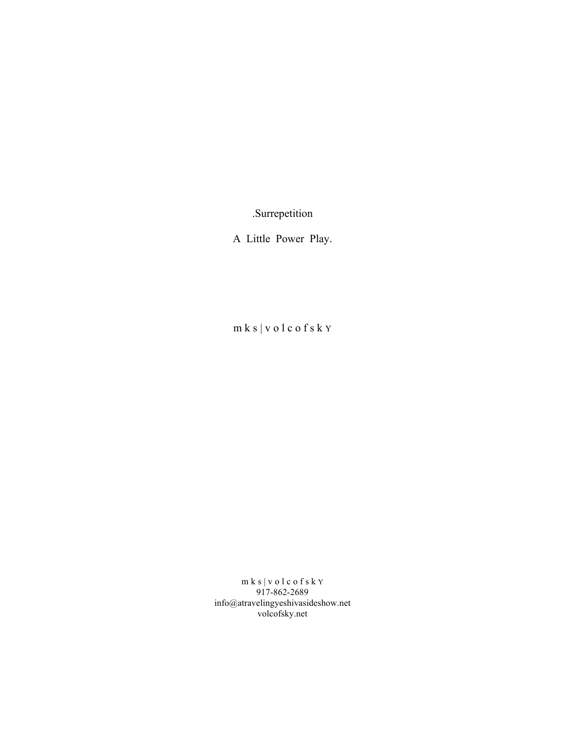.Surrepetition

A Little Power Play.

m k s  $|v$ o l c o f s k  $Y$ 

m k s | v o l c o f s k Y 917-862-2689 info@atravelingyeshivasideshow.net volcofsky.net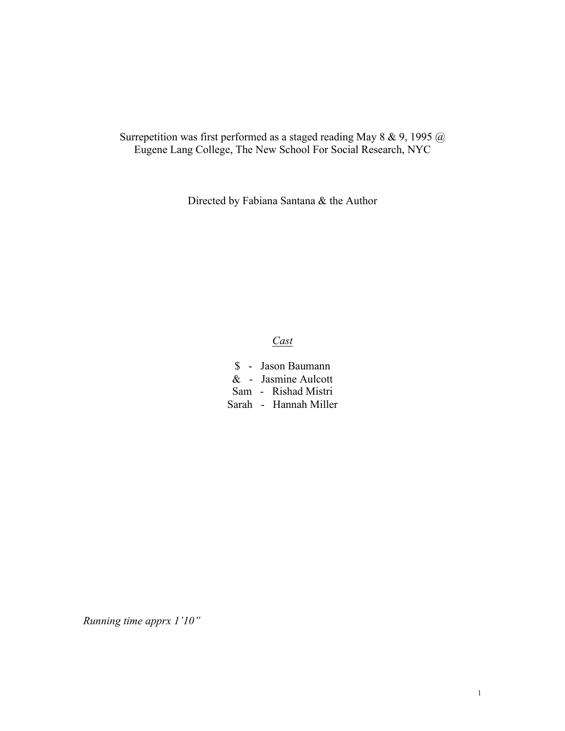Surrepetition was first performed as a staged reading May 8 & 9, 1995 @ Eugene Lang College, The New School For Social Research, NYC

Directed by Fabiana Santana & the Author

## *Cast*

\$ - Jason Baumann & - Jasmine Aulcott Sam - Rishad Mistri Sarah - Hannah Miller

*Running time apprx 1'10"*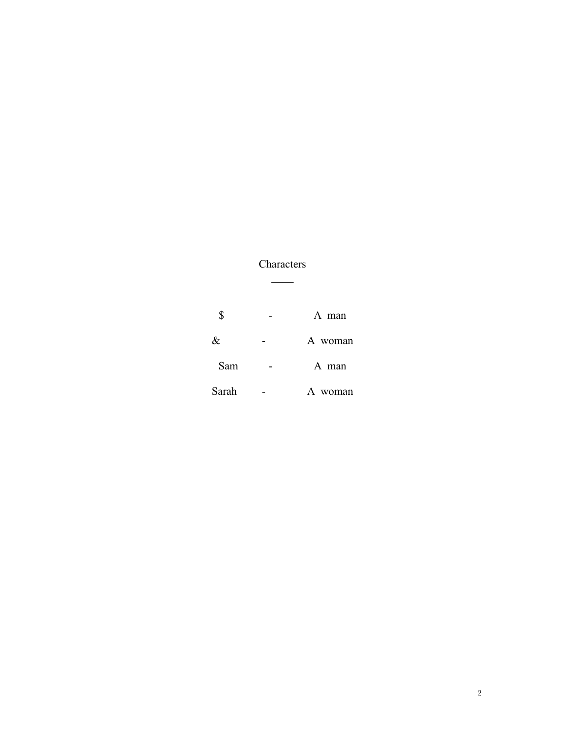## Characters  $\overline{\phantom{a}}$

| \$    | A man   |
|-------|---------|
| &     | A woman |
| Sam   | A man   |
| Sarah | A woman |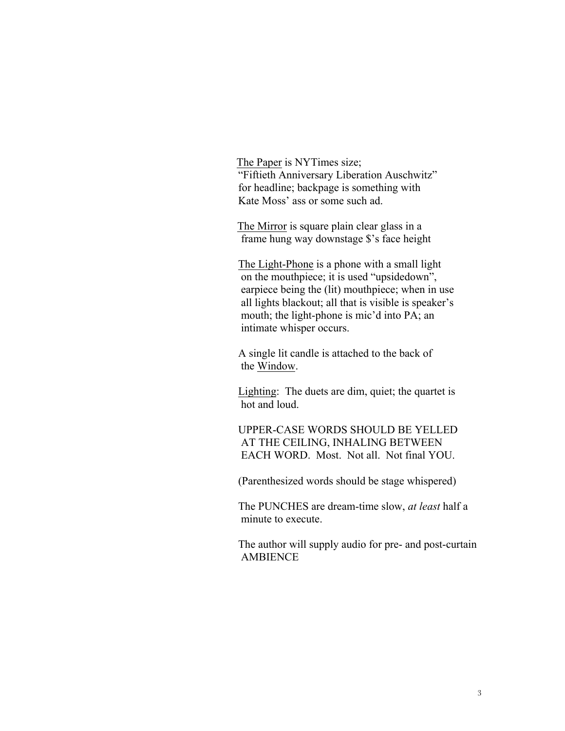The Paper is NYTimes size; "Fiftieth Anniversary Liberation Auschwitz" for headline; backpage is something with Kate Moss' ass or some such ad.

 The Mirror is square plain clear glass in a frame hung way downstage \$'s face height

 The Light-Phone is a phone with a small light on the mouthpiece; it is used "upsidedown", earpiece being the (lit) mouthpiece; when in use all lights blackout; all that is visible is speaker's mouth; the light-phone is mic'd into PA; an intimate whisper occurs.

 A single lit candle is attached to the back of the Window.

 Lighting: The duets are dim, quiet; the quartet is hot and loud.

 UPPER-CASE WORDS SHOULD BE YELLED AT THE CEILING, INHALING BETWEEN EACH WORD. Most. Not all. Not final YOU.

(Parenthesized words should be stage whispered)

 The PUNCHES are dream-time slow, *at least* half a minute to execute.

 The author will supply audio for pre- and post-curtain AMBIENCE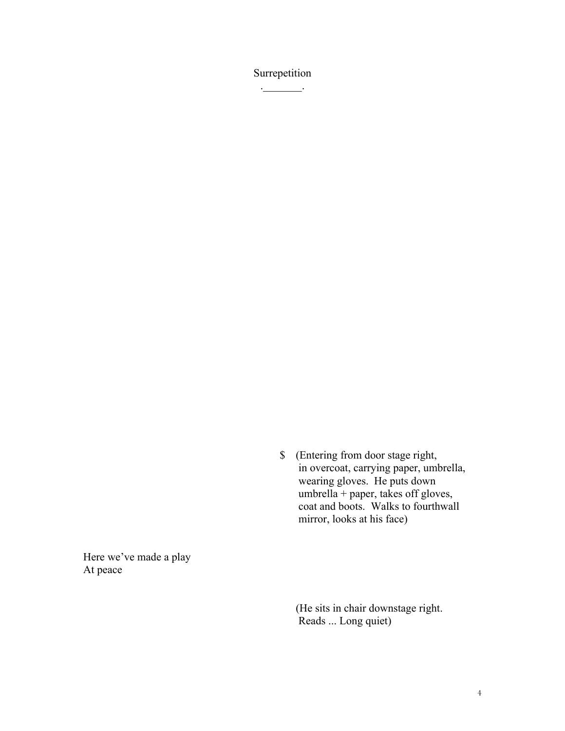Surrepetition .\_\_\_\_\_\_\_.

> \$ (Entering from door stage right, in overcoat, carrying paper, umbrella, wearing gloves. He puts down umbrella + paper, takes off gloves, coat and boots. Walks to fourthwall mirror, looks at his face)

Here we've made a play At peace

> (He sits in chair downstage right. Reads ... Long quiet)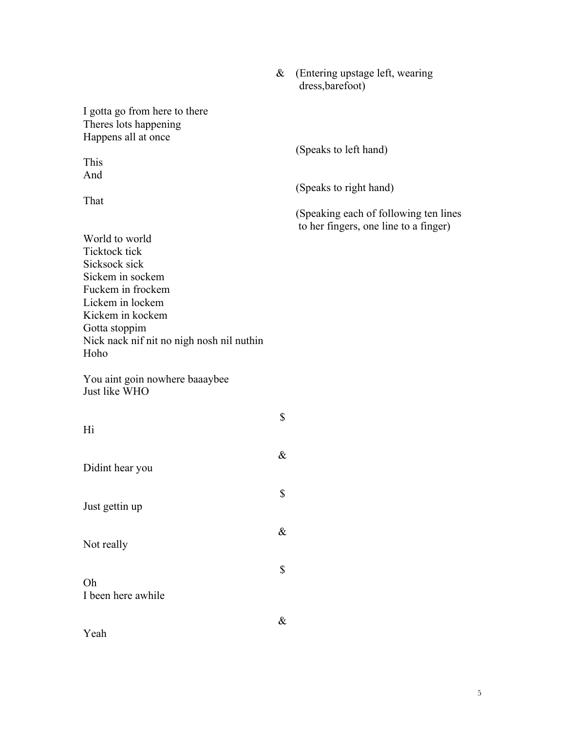|                                                                                                                                                                                                                |      | dress, barefoot)                                                |
|----------------------------------------------------------------------------------------------------------------------------------------------------------------------------------------------------------------|------|-----------------------------------------------------------------|
| I gotta go from here to there<br>Theres lots happening<br>Happens all at once                                                                                                                                  |      |                                                                 |
| This<br>And                                                                                                                                                                                                    |      | (Speaks to left hand)                                           |
| That                                                                                                                                                                                                           |      | (Speaks to right hand)<br>(Speaking each of following ten lines |
| World to world<br><b>Ticktock</b> tick<br>Sicksock sick<br>Sickem in sockem<br>Fuckem in frockem<br>Lickem in lockem<br>Kickem in kockem<br>Gotta stoppim<br>Nick nack nif nit no nigh nosh nil nuthin<br>Hoho |      | to her fingers, one line to a finger)                           |
| You aint goin nowhere baaaybee<br>Just like WHO                                                                                                                                                                |      |                                                                 |
| Hi                                                                                                                                                                                                             | \$   |                                                                 |
| Didint hear you                                                                                                                                                                                                | $\&$ |                                                                 |
| Just gettin up                                                                                                                                                                                                 | \$   |                                                                 |
| Not really                                                                                                                                                                                                     | $\&$ |                                                                 |
| Oh<br>I been here awhile                                                                                                                                                                                       | \$   |                                                                 |
|                                                                                                                                                                                                                | $\&$ |                                                                 |

 $\&$  (Entering upstage left, wearing

Yeah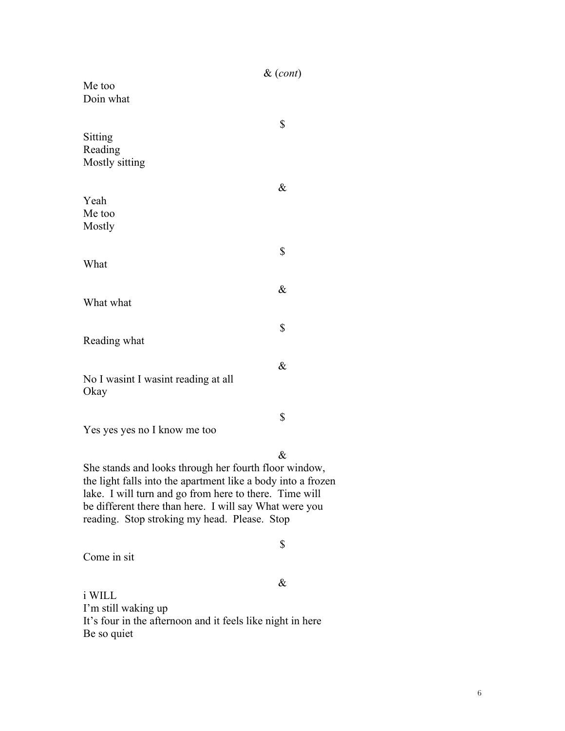|                                                                                                                                                                                                                                                                                           | $&$ (cont) |
|-------------------------------------------------------------------------------------------------------------------------------------------------------------------------------------------------------------------------------------------------------------------------------------------|------------|
| Me too<br>Doin what                                                                                                                                                                                                                                                                       |            |
| Sitting<br>Reading<br>Mostly sitting                                                                                                                                                                                                                                                      | \$         |
| Yeah<br>Me too<br>Mostly                                                                                                                                                                                                                                                                  | $\&$       |
| What                                                                                                                                                                                                                                                                                      | \$         |
| What what                                                                                                                                                                                                                                                                                 | &          |
| Reading what                                                                                                                                                                                                                                                                              | \$         |
| No I was int I was intreading at all<br>Okay                                                                                                                                                                                                                                              | $\&$       |
| Yes yes yes no I know me too                                                                                                                                                                                                                                                              | \$         |
| She stands and looks through her fourth floor window,<br>the light falls into the apartment like a body into a frozen<br>lake. I will turn and go from here to there. Time will<br>be different there than here. I will say What were you<br>reading. Stop stroking my head. Please. Stop | $\&$       |
| Come in sit                                                                                                                                                                                                                                                                               | \$         |
| i WILL<br>I'm still waking up<br>It's four in the afternoon and it feels like night in here<br>Be so quiet                                                                                                                                                                                | &          |

#### 6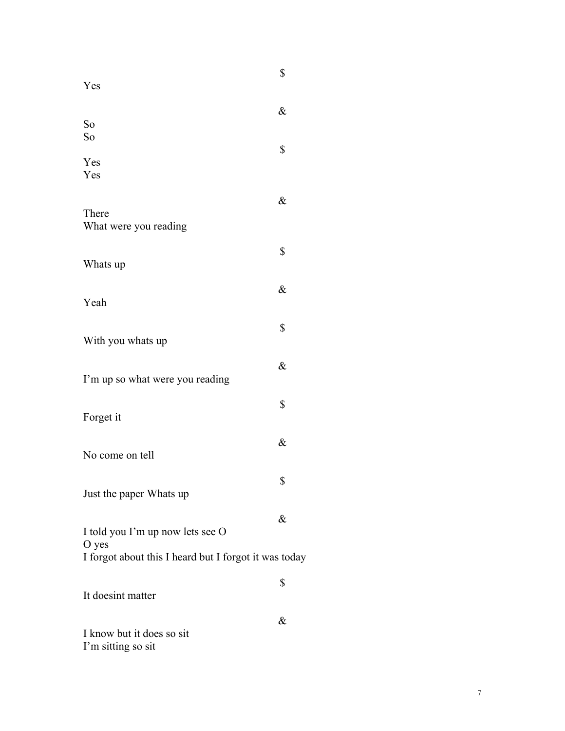| Yes                                                            | \$   |
|----------------------------------------------------------------|------|
| So                                                             | $\&$ |
| So<br>Yes                                                      | \$   |
| Yes                                                            |      |
| There<br>What were you reading                                 | $\&$ |
| Whats up                                                       | \$   |
| Yeah                                                           | $\&$ |
| With you whats up                                              | \$   |
| I'm up so what were you reading                                | $\&$ |
| Forget it                                                      | \$   |
| No come on tell                                                | $\&$ |
| Just the paper Whats up                                        | \$   |
| I told you I'm up now lets see O                               | &    |
| O yes<br>I forgot about this I heard but I forgot it was today |      |
| It doesint matter                                              | \$   |
| I know but it does so sit                                      | $\&$ |

I'm sitting so sit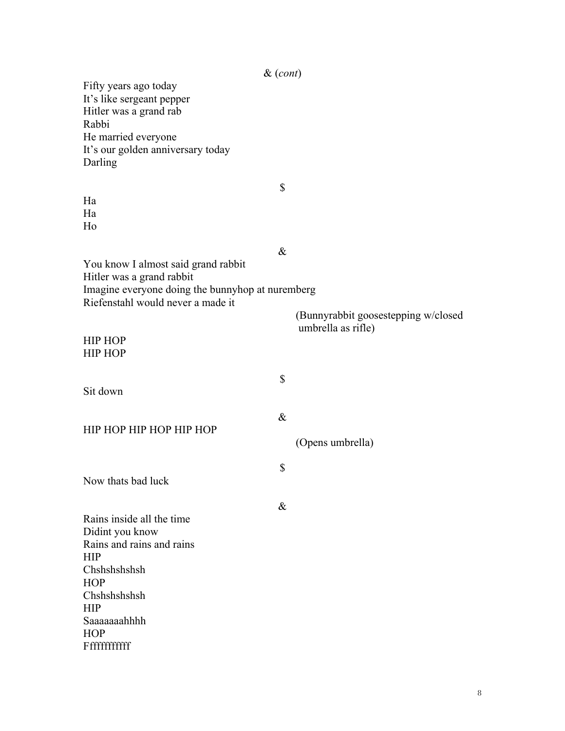Fifty years ago today It's like sergeant pepper Hitler was a grand rab Rabbi He married everyone It's our golden anniversary today Darling

Ha Ha Ho

&

\$

You know I almost said grand rabbit Hitler was a grand rabbit Imagine everyone doing the bunnyhop at nuremberg Riefenstahl would never a made it (Bunnyrabbit goosestepping w/closed

HIP HOP HIP HOP

Sit down

HIP HOP HIP HOP HIP HOP

(Opens umbrella)

umbrella as rifle)

Now thats bad luck

Rains inside all the time Didint you know Rains and rains and rains HIP Chshshshshsh HOP Chshshshshsh HIP Saaaaaaahhhh HOP Ffffffffffff

&

\$

\$

&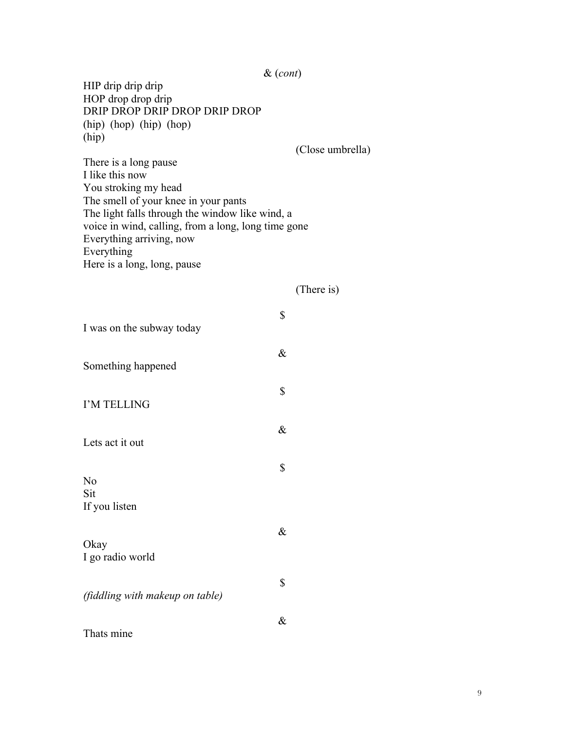HIP drip drip drip HOP drop drop drip DRIP DROP DRIP DROP DRIP DROP (hip) (hop) (hip) (hop) (hip)

(Close umbrella)

|                                                     | (UIUSU |
|-----------------------------------------------------|--------|
| There is a long pause                               |        |
| I like this now                                     |        |
| You stroking my head                                |        |
| The smell of your knee in your pants                |        |
| The light falls through the window like wind, a     |        |
| voice in wind, calling, from a long, long time gone |        |
| Everything arriving, now                            |        |
| Everything                                          |        |
| Here is a long, long, pause                         |        |
|                                                     |        |

| I was on the subway today       | \$   |
|---------------------------------|------|
| Something happened              | $\&$ |
| I'M TELLING                     | \$   |
| Lets act it out                 | &    |
| N <sub>0</sub>                  | \$   |
| Sit<br>If you listen            |      |
| Okay<br>I go radio world        | $\&$ |
| (fiddling with makeup on table) | \$   |
| Thats mine                      | &    |

(There is)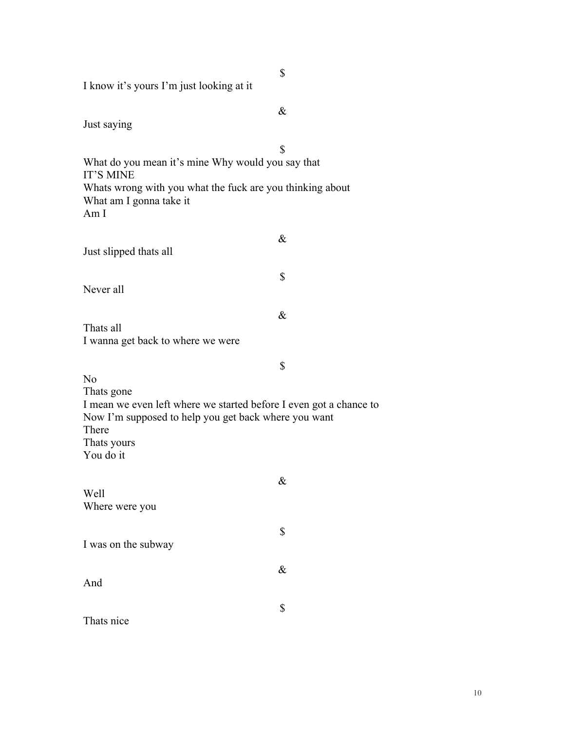I know it's yours I'm just looking at it

Just saying

\$ What do you mean it's mine Why would you say that IT'S MINE Whats wrong with you what the fuck are you thinking about What am I gonna take it Am I

\$

&

&

\$

&

Just slipped thats all

Never all

Thats all I wanna get back to where we were

\$ No Thats gone I mean we even left where we started before I even got a chance to Now I'm supposed to help you get back where you want There Thats yours You do it

| Well<br>Where were you |   |
|------------------------|---|
| I was on the subway    |   |
| And                    | & |
| Thats nice             |   |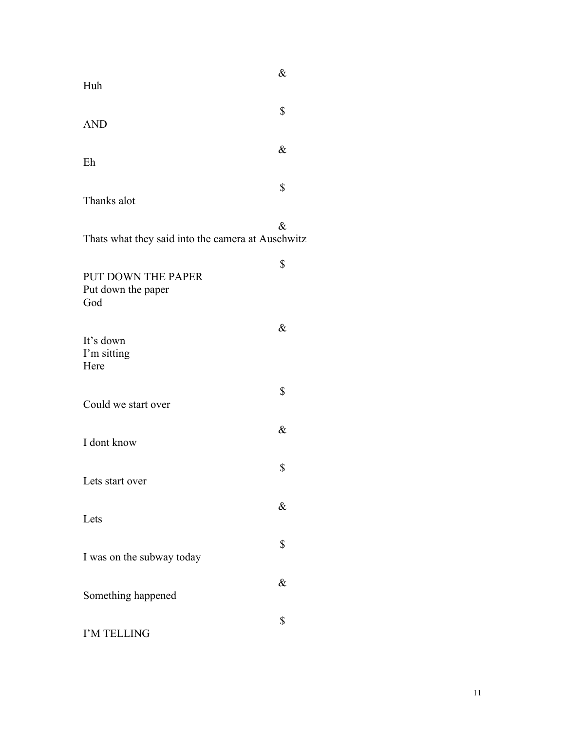| Huh                                               | $\&$ |
|---------------------------------------------------|------|
| <b>AND</b>                                        | \$   |
| Eh                                                | $\&$ |
| Thanks alot                                       | \$   |
| Thats what they said into the camera at Auschwitz | $\&$ |
| PUT DOWN THE PAPER<br>Put down the paper          | \$   |
| God                                               | $\&$ |
| It's down<br>I'm sitting<br>Here                  |      |
| Could we start over                               | \$   |
| I dont know                                       | $\&$ |
| Lets start over                                   | \$   |
| Lets                                              | $\&$ |
| I was on the subway today                         | \$   |
| Something happened                                | $\&$ |
| I'M TELLING                                       | \$   |

11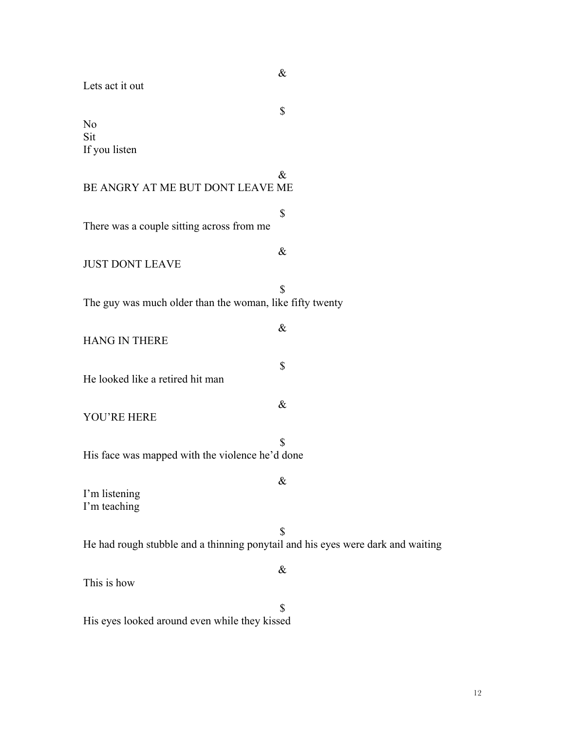| Lets act it out                                                                 | &    |
|---------------------------------------------------------------------------------|------|
| N <sub>0</sub><br>Sit<br>If you listen                                          | \$   |
| BE ANGRY AT ME BUT DONT LEAVE ME                                                | &    |
| There was a couple sitting across from me                                       | \$   |
| <b>JUST DONT LEAVE</b>                                                          | &    |
| The guy was much older than the woman, like fifty twenty                        | \$   |
| HANG IN THERE                                                                   | $\&$ |
| He looked like a retired hit man                                                | \$   |
| YOU'RE HERE                                                                     | $\&$ |
| His face was mapped with the violence he'd done                                 | \$   |
|                                                                                 |      |
| I'm listening<br>I'm teaching                                                   | &    |
| He had rough stubble and a thinning ponytail and his eyes were dark and waiting | \$   |
| This is how                                                                     | $\&$ |
|                                                                                 | \$   |

His eyes looked around even while they kissed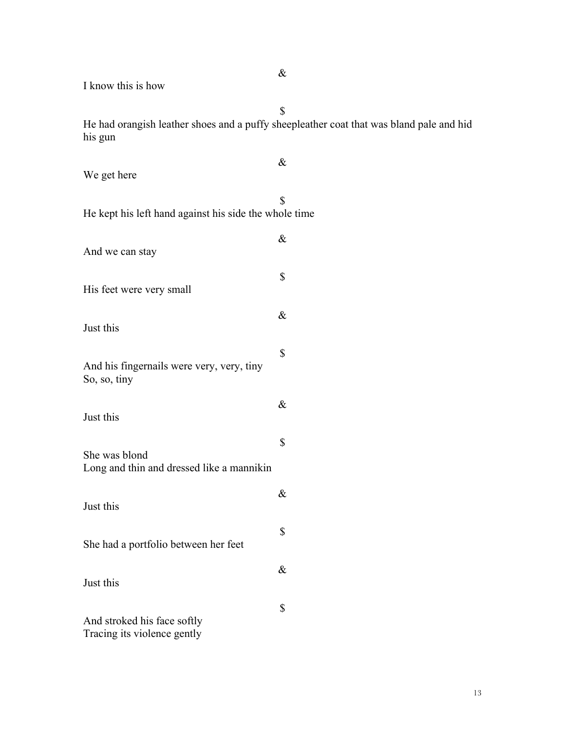I know this is how

\$ He had orangish leather shoes and a puffy sheepleather coat that was bland pale and hid his gun

&

We get here

\$ He kept his left hand against his side the whole time

| And we can stay                                            | $\&$ |
|------------------------------------------------------------|------|
| His feet were very small                                   | \$   |
| Just this                                                  | $\&$ |
| And his fingernails were very, very, tiny<br>So, so, tiny  | \$   |
| Just this                                                  | $\&$ |
| She was blond<br>Long and thin and dressed like a mannikin | \$   |
| Just this                                                  | $\&$ |
| She had a portfolio between her feet                       | \$   |
| Just this                                                  | $\&$ |
| And stroked his face softly<br>Tracing its violence gently | \$   |

13

&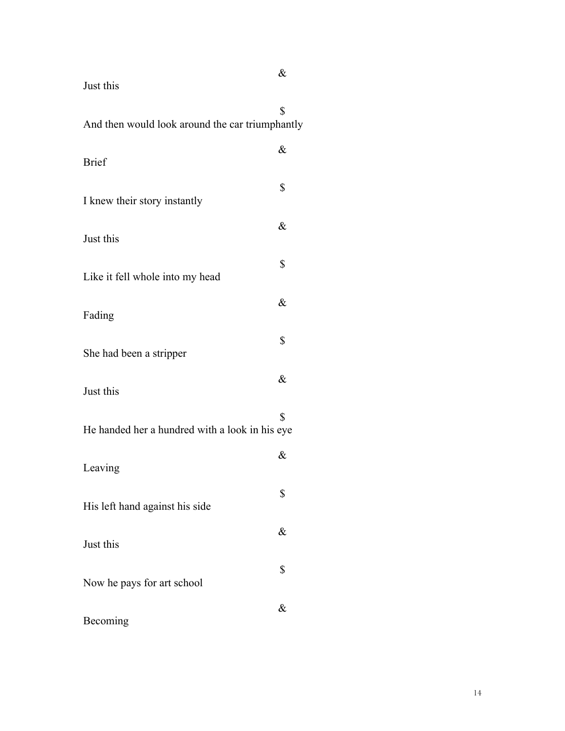# Just this

|                                                 | \$   |
|-------------------------------------------------|------|
| And then would look around the car triumphantly |      |
| <b>Brief</b>                                    | $\&$ |
| I knew their story instantly                    | \$   |
| Just this                                       | $\&$ |
| Like it fell whole into my head                 | \$   |
| Fading                                          | $\&$ |
| She had been a stripper                         | \$   |
| Just this                                       | $\&$ |
| He handed her a hundred with a look in his eye  | \$   |
| Leaving                                         | $\&$ |
| His left hand against his side                  | \$   |
| Just this                                       | $\&$ |
| Now he pays for art school                      | \$   |
| Becoming                                        | $\&$ |
|                                                 |      |

&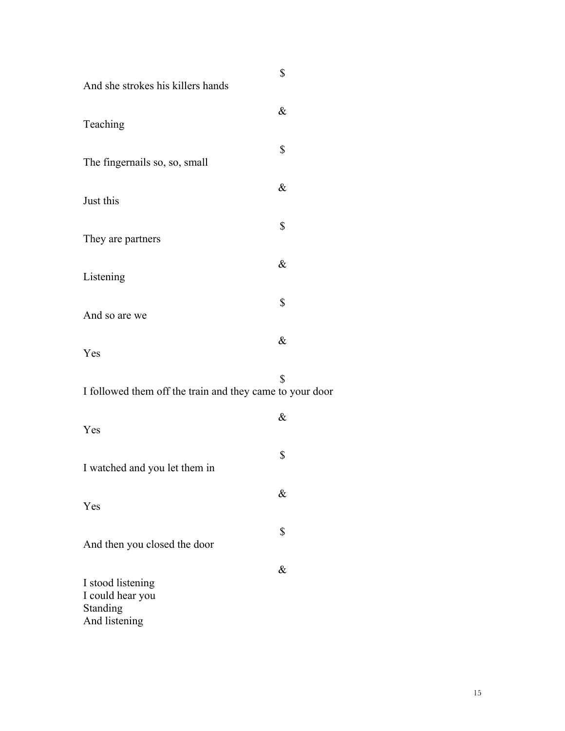| And she strokes his killers hands                                  | \$   |
|--------------------------------------------------------------------|------|
| Teaching                                                           | $\&$ |
| The fingernails so, so, small                                      | \$   |
| Just this                                                          | $\&$ |
| They are partners                                                  | \$   |
| Listening                                                          | $\&$ |
| And so are we                                                      | \$   |
| Yes                                                                | $\&$ |
|                                                                    | \$   |
| I followed them off the train and they came to your door           | $\&$ |
| Yes                                                                | \$   |
| I watched and you let them in                                      | $\&$ |
| Yes                                                                | \$   |
| And then you closed the door                                       | $\&$ |
| I stood listening<br>I could hear you<br>Standing<br>And listening |      |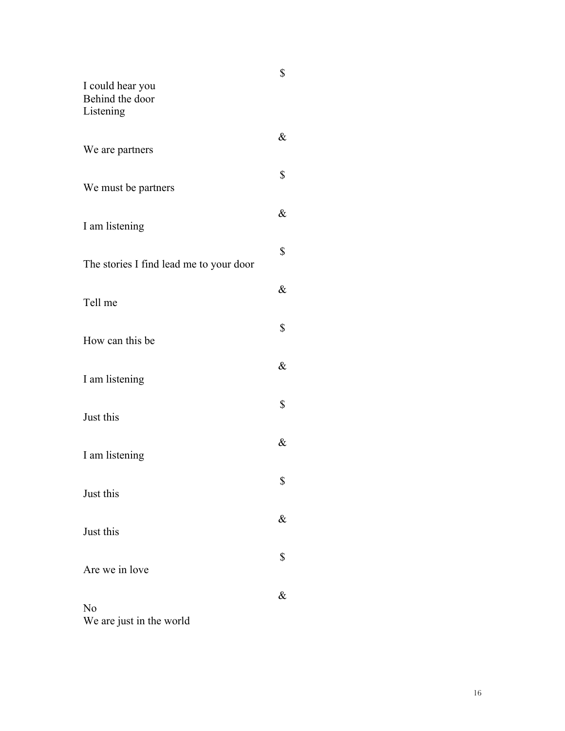| I could hear you<br>Behind the door<br>Listening | \$   |
|--------------------------------------------------|------|
| We are partners                                  | &    |
| We must be partners                              | \$   |
| I am listening                                   | $\&$ |
| The stories I find lead me to your door          | \$   |
| Tell me                                          | $\&$ |
| How can this be                                  | \$   |
| I am listening                                   | $\&$ |
| Just this                                        | \$   |
| I am listening                                   | &    |
| Just this                                        | \$   |
| Just this                                        | &    |
| Are we in love                                   | \$   |
| N <sub>0</sub>                                   | $\&$ |
| We are just in the world                         |      |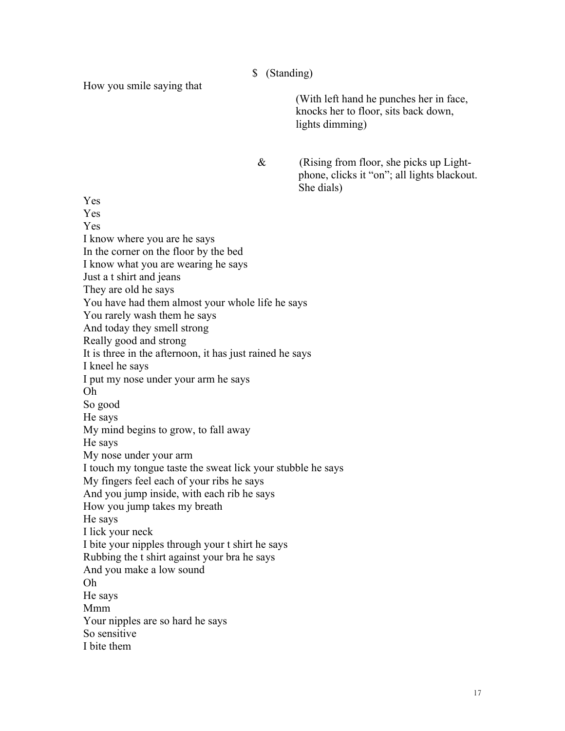\$ (Standing)

How you smile saying that

Yes

(With left hand he punches her in face, knocks her to floor, sits back down, lights dimming)

 $&$  (Rising from floor, she picks up Lightphone, clicks it "on"; all lights blackout. She dials)

Yes Yes I know where you are he says In the corner on the floor by the bed I know what you are wearing he says Just a t shirt and jeans They are old he says You have had them almost your whole life he says You rarely wash them he says And today they smell strong Really good and strong It is three in the afternoon, it has just rained he says I kneel he says I put my nose under your arm he says Oh So good He says My mind begins to grow, to fall away He says My nose under your arm I touch my tongue taste the sweat lick your stubble he says My fingers feel each of your ribs he says And you jump inside, with each rib he says How you jump takes my breath He says I lick your neck I bite your nipples through your t shirt he says Rubbing the t shirt against your bra he says And you make a low sound Oh He says Mmm Your nipples are so hard he says So sensitive I bite them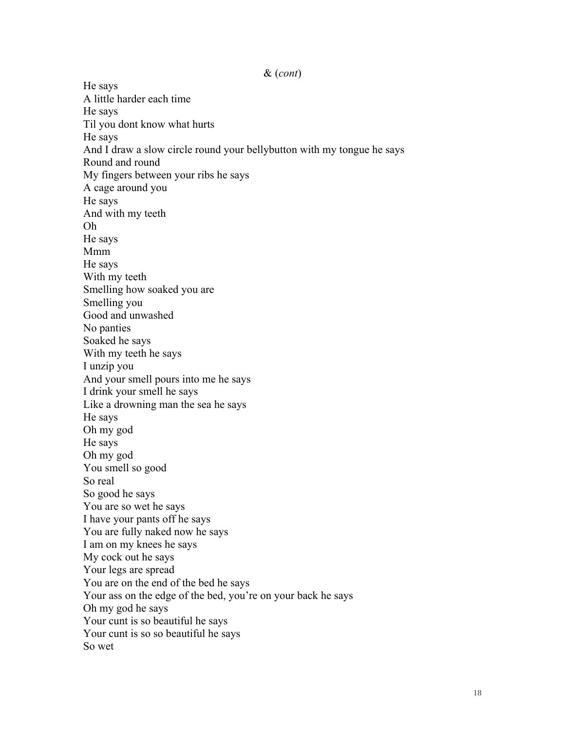He says A little harder each time He says Til you dont know what hurts He says And I draw a slow circle round your bellybutton with my tongue he says Round and round My fingers between your ribs he says A cage around you He says And with my teeth Oh He says Mmm He says With my teeth Smelling how soaked you are Smelling you Good and unwashed No panties Soaked he says With my teeth he says I unzip you And your smell pours into me he says I drink your smell he says Like a drowning man the sea he says He says Oh my god He says Oh my god You smell so good So real So good he says You are so wet he says I have your pants off he says You are fully naked now he says I am on my knees he says My cock out he says Your legs are spread You are on the end of the bed he says Your ass on the edge of the bed, you're on your back he says Oh my god he says Your cunt is so beautiful he says Your cunt is so so beautiful he says So wet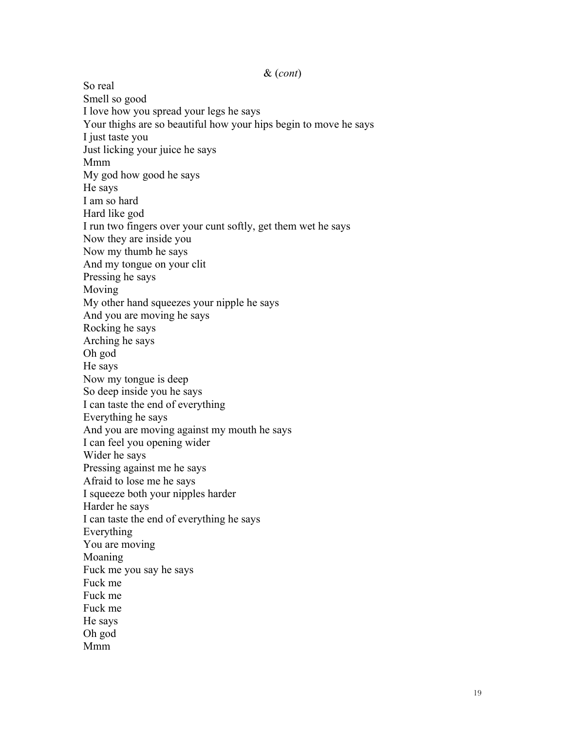So real Smell so good I love how you spread your legs he says Your thighs are so beautiful how your hips begin to move he says I just taste you Just licking your juice he says Mmm My god how good he says He says I am so hard Hard like god I run two fingers over your cunt softly, get them wet he says Now they are inside you Now my thumb he says And my tongue on your clit Pressing he says Moving My other hand squeezes your nipple he says And you are moving he says Rocking he says Arching he says Oh god He says Now my tongue is deep So deep inside you he says I can taste the end of everything Everything he says And you are moving against my mouth he says I can feel you opening wider Wider he says Pressing against me he says Afraid to lose me he says I squeeze both your nipples harder Harder he says I can taste the end of everything he says Everything You are moving Moaning Fuck me you say he says Fuck me Fuck me Fuck me He says Oh god Mmm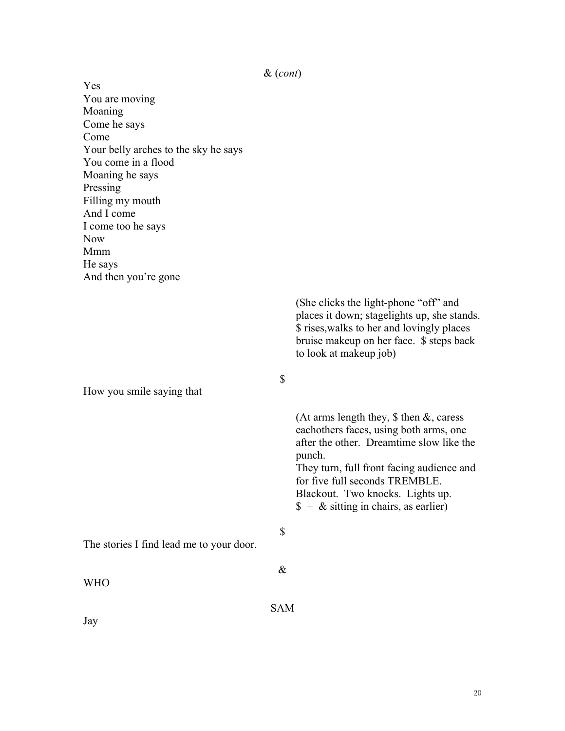| Yes                                      |            |                                                                                                                                       |
|------------------------------------------|------------|---------------------------------------------------------------------------------------------------------------------------------------|
| You are moving                           |            |                                                                                                                                       |
| Moaning                                  |            |                                                                                                                                       |
| Come he says                             |            |                                                                                                                                       |
| Come                                     |            |                                                                                                                                       |
| Your belly arches to the sky he says     |            |                                                                                                                                       |
| You come in a flood                      |            |                                                                                                                                       |
| Moaning he says                          |            |                                                                                                                                       |
| Pressing                                 |            |                                                                                                                                       |
| Filling my mouth                         |            |                                                                                                                                       |
| And I come                               |            |                                                                                                                                       |
| I come too he says                       |            |                                                                                                                                       |
| <b>Now</b>                               |            |                                                                                                                                       |
| Mmm                                      |            |                                                                                                                                       |
| He says                                  |            |                                                                                                                                       |
| And then you're gone                     |            |                                                                                                                                       |
|                                          |            | (She clicks the light-phone "off" and                                                                                                 |
|                                          |            | places it down; stagelights up, she stands.<br>\$ rises, walks to her and lovingly places<br>bruise makeup on her face. \$ steps back |
|                                          |            | to look at makeup job)                                                                                                                |
|                                          | \$         |                                                                                                                                       |
| How you smile saying that                |            |                                                                                                                                       |
|                                          |            | (At arms length they, $\oint$ then $\&$ , caress                                                                                      |
|                                          |            | eachothers faces, using both arms, one<br>after the other. Dreamtime slow like the                                                    |
|                                          |            | punch.                                                                                                                                |
|                                          |            | They turn, full front facing audience and                                                                                             |
|                                          |            | for five full seconds TREMBLE.                                                                                                        |
|                                          |            | Blackout. Two knocks. Lights up<br>$$ + \&$ sitting in chairs, as earlier)                                                            |
|                                          |            |                                                                                                                                       |
| The stories I find lead me to your door. | \$         |                                                                                                                                       |
|                                          |            |                                                                                                                                       |
|                                          | $\&$       |                                                                                                                                       |
| <b>WHO</b>                               |            |                                                                                                                                       |
|                                          |            |                                                                                                                                       |
|                                          | <b>SAM</b> |                                                                                                                                       |
| Jay                                      |            |                                                                                                                                       |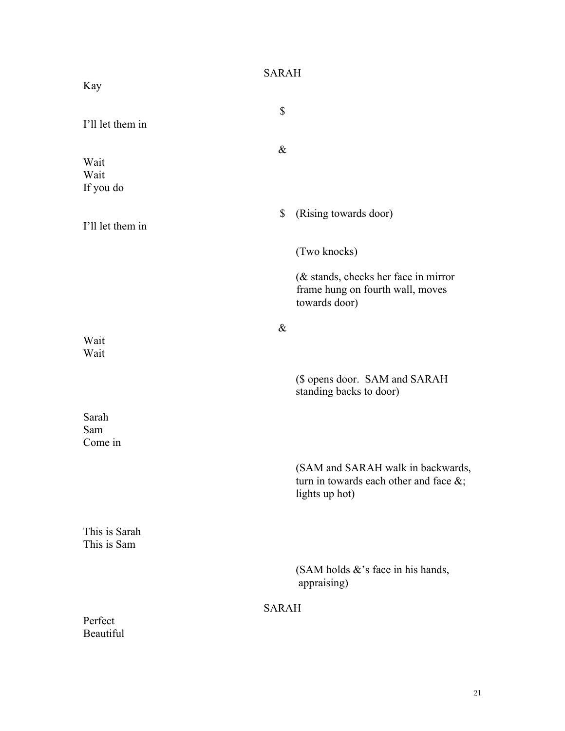# SARAH Kay \$ I'll let them in & Wait Wait If you do \$ (Rising towards door) I'll let them in (Two knocks) (& stands, checks her face in mirror frame hung on fourth wall, moves towards door) & Wait Wait (\$ opens door. SAM and SARAH standing backs to door) Sarah Sam Come in (SAM and SARAH walk in backwards, turn in towards each other and face &; lights up hot) This is Sarah This is Sam (SAM holds &'s face in his hands, appraising) SARAH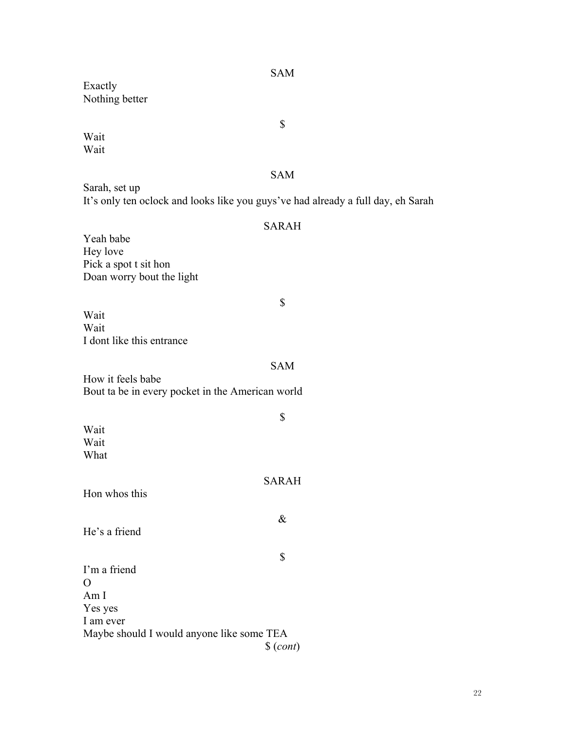#### SAM

\$

Exactly Nothing better

Wait Wait

SAM

Sarah, set up It's only ten oclock and looks like you guys've had already a full day, eh Sarah

#### SARAH

\$

SAM

Yeah babe Hey love Pick a spot t sit hon Doan worry bout the light

Wait Wait I dont like this entrance

How it feels babe Bout ta be in every pocket in the American world

\$ Wait Wait What SARAH Hon whos this & He's a friend \$ I'm a friend  $\Omega$ Am I Yes yes I am ever Maybe should I would anyone like some TEA \$ (*cont*)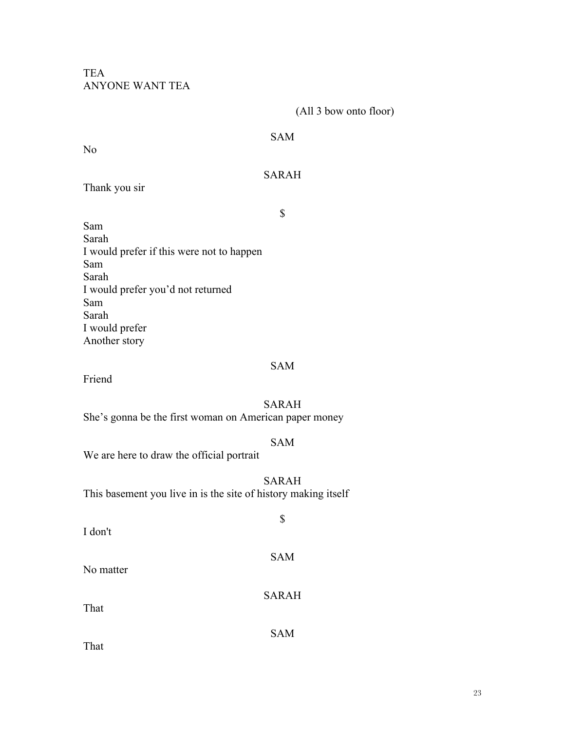**TEA** ANYONE WANT TEA

(All 3 bow onto floor)

#### SAM

No

## SARAH

Thank you sir

\$

Sam Sarah I would prefer if this were not to happen Sam Sarah I would prefer you'd not returned Sam Sarah I would prefer Another story

#### SAM

Friend

#### SARAH

She's gonna be the first woman on American paper money

## SAM

We are here to draw the official portrait

SARAH This basement you live in is the site of history making itself

| I don't   | \$           |
|-----------|--------------|
| No matter | <b>SAM</b>   |
| That      | <b>SARAH</b> |
|           | <b>SAM</b>   |

That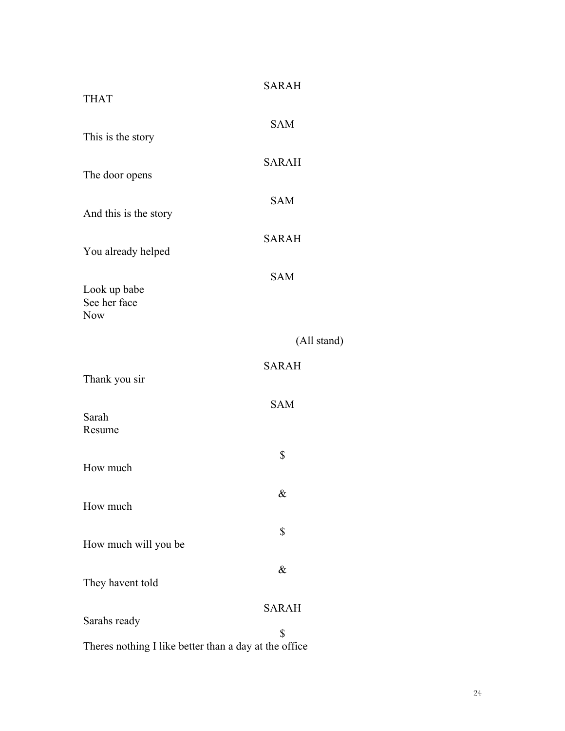| <b>THAT</b>                                           | <b>SARAH</b> |
|-------------------------------------------------------|--------------|
| This is the story                                     | <b>SAM</b>   |
| The door opens                                        | <b>SARAH</b> |
|                                                       | <b>SAM</b>   |
| And this is the story                                 | <b>SARAH</b> |
| You already helped                                    |              |
| Look up babe<br>See her face<br><b>Now</b>            | <b>SAM</b>   |
|                                                       | (All stand)  |
| Thank you sir                                         | <b>SARAH</b> |
| Sarah<br>Resume                                       | <b>SAM</b>   |
| How much                                              | \$           |
| How much                                              | $\&$         |
| How much will you be                                  | \$           |
| They havent told                                      | &            |
| Sarahs ready                                          | <b>SARAH</b> |
| Theres nothing I like better than a day at the office | \$           |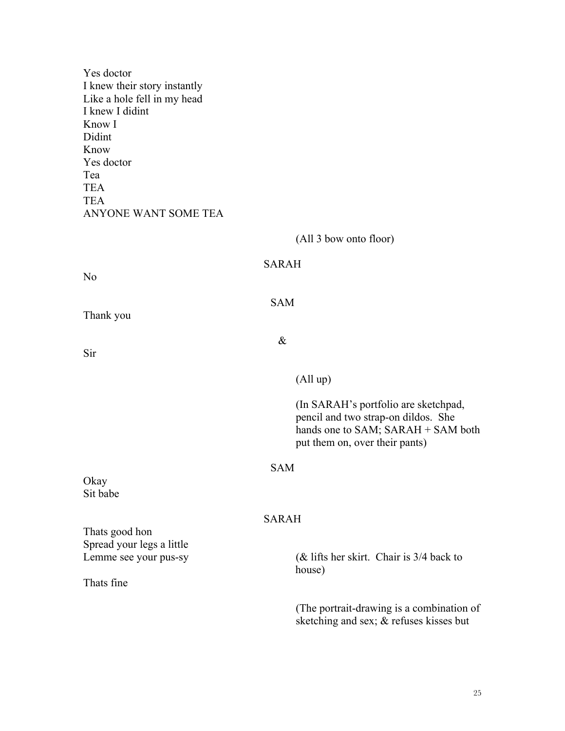Yes doctor I knew their story instantly Like a hole fell in my head I knew I didint Know I Didint Know Yes doctor Tea TEA TEA ANYONE WANT SOME TEA

|                                             | (All 3 bow onto floor)                                                                                                                              |
|---------------------------------------------|-----------------------------------------------------------------------------------------------------------------------------------------------------|
|                                             | <b>SARAH</b>                                                                                                                                        |
| N <sub>o</sub>                              |                                                                                                                                                     |
| Thank you                                   | <b>SAM</b>                                                                                                                                          |
| Sir                                         | $\&$                                                                                                                                                |
|                                             | (All up)                                                                                                                                            |
|                                             | (In SARAH's portfolio are sketchpad,<br>pencil and two strap-on dildos. She<br>hands one to SAM; SARAH + SAM both<br>put them on, over their pants) |
|                                             | <b>SAM</b>                                                                                                                                          |
| Okay<br>Sit babe                            |                                                                                                                                                     |
|                                             | <b>SARAH</b>                                                                                                                                        |
| Thats good hon<br>Spread your legs a little |                                                                                                                                                     |
| Lemme see your pus-sy                       | ( $&$ lifts her skirt. Chair is 3/4 back to<br>house)                                                                                               |
| Thats fine                                  |                                                                                                                                                     |
|                                             | (The portrait-drawing is a combination of<br>sketching and sex; & refuses kisses but                                                                |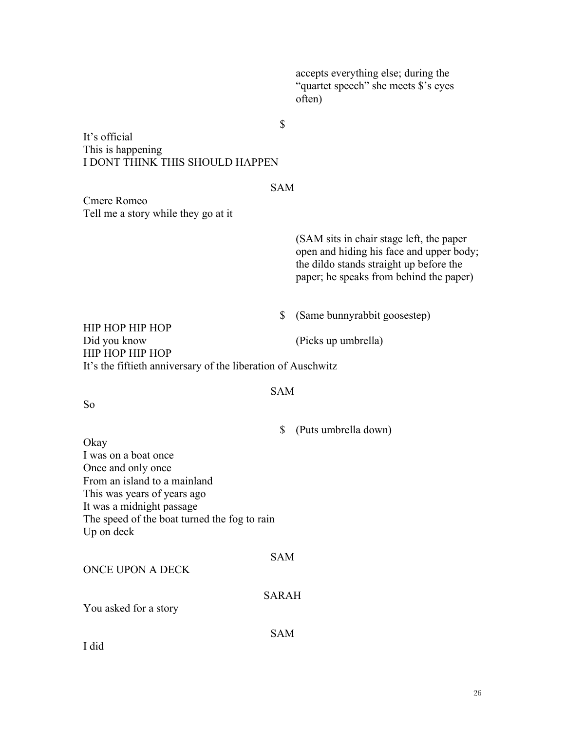accepts everything else; during the "quartet speech" she meets \$'s eyes often)

\$

#### It's official This is happening I DONT THINK THIS SHOULD HAPPEN

#### SAM

Cmere Romeo Tell me a story while they go at it

> (SAM sits in chair stage left, the paper open and hiding his face and upper body; the dildo stands straight up before the paper; he speaks from behind the paper)

\$ (Same bunnyrabbit goosestep)

HIP HOP HIP HOP Did you know (Picks up umbrella) HIP HOP HIP HOP It's the fiftieth anniversary of the liberation of Auschwitz

#### SAM

So

\$ (Puts umbrella down)

Okay I was on a boat once Once and only once From an island to a mainland This was years of years ago It was a midnight passage The speed of the boat turned the fog to rain Up on deck

ONCE UPON A DECK

You asked for a story

SAM

SAM

SARAH

I did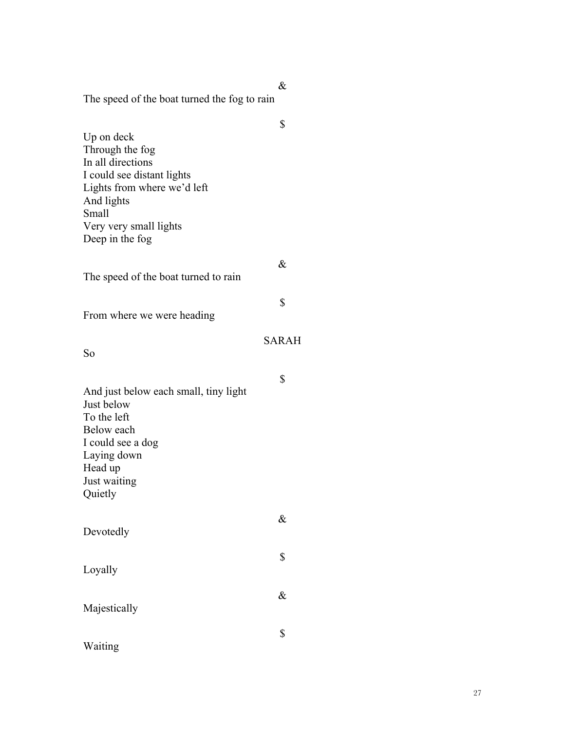&

\$

The speed of the boat turned the fog to rain

Up on deck Through the fog In all directions I could see distant lights Lights from where we'd left And lights Small Very very small lights Deep in the fog

The speed of the boat turned to rain

From where we were heading

SARAH

\$

&

So

## \$

&

\$

&

\$

| And just below each small, tiny light |
|---------------------------------------|
| Just below                            |
| To the left                           |
| Below each                            |
| I could see a dog                     |
| Laying down                           |
| Head up                               |
| Just waiting                          |
| Quietly                               |
|                                       |
|                                       |
| Devotedly                             |
|                                       |
|                                       |
| Loyally                               |

Majestically

Waiting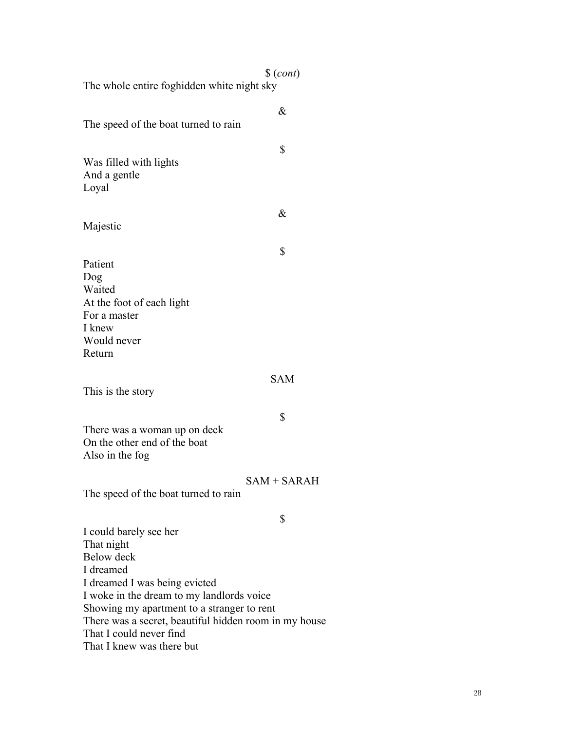\$ (*cont*) The whole entire foghidden white night sky

| The speed of the boat turned to rain                                                                                     | $\&$          |
|--------------------------------------------------------------------------------------------------------------------------|---------------|
|                                                                                                                          |               |
| Was filled with lights<br>And a gentle<br>Loyal                                                                          | \$            |
| Majestic                                                                                                                 | &             |
|                                                                                                                          | \$            |
| Patient<br>Dog<br>Waited                                                                                                 |               |
| At the foot of each light<br>For a master<br>I knew                                                                      |               |
| Would never<br>Return                                                                                                    |               |
| This is the story                                                                                                        | SAM           |
|                                                                                                                          | \$            |
| There was a woman up on deck<br>On the other end of the boat<br>Also in the fog                                          |               |
| The speed of the boat turned to rain                                                                                     | $SAM + SARAH$ |
| I could barely see her                                                                                                   | \$            |
| That night<br>Below deck<br>I dreamed                                                                                    |               |
| I dreamed I was being evicted<br>I woke in the dream to my landlords voice<br>Showing my apartment to a stranger to rent |               |
| There was a secret, beautiful hidden room in my house                                                                    |               |

That I could never find

That I knew was there but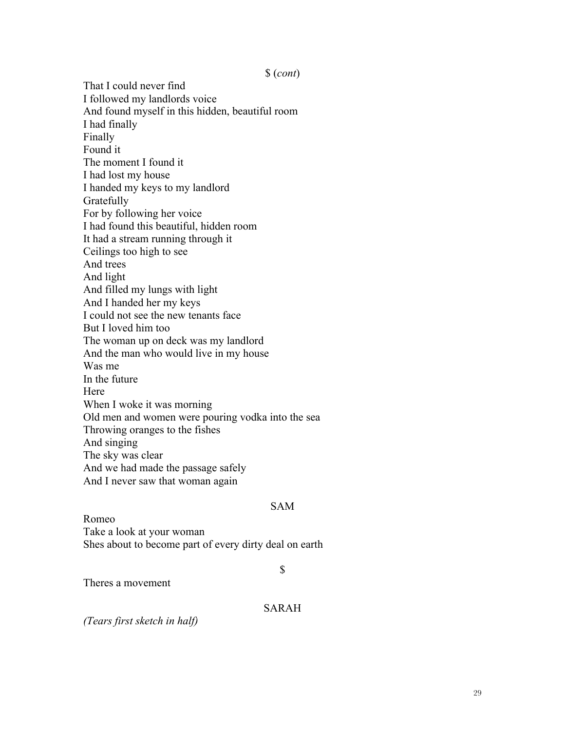That I could never find I followed my landlords voice And found myself in this hidden, beautiful room I had finally Finally Found it The moment I found it I had lost my house I handed my keys to my landlord Gratefully For by following her voice I had found this beautiful, hidden room It had a stream running through it Ceilings too high to see And trees And light And filled my lungs with light And I handed her my keys I could not see the new tenants face But I loved him too The woman up on deck was my landlord And the man who would live in my house Was me In the future Here When I woke it was morning Old men and women were pouring vodka into the sea Throwing oranges to the fishes And singing The sky was clear And we had made the passage safely And I never saw that woman again

#### SAM

Romeo Take a look at your woman Shes about to become part of every dirty deal on earth

\$

Theres a movement

#### SARAH

*(Tears first sketch in half)*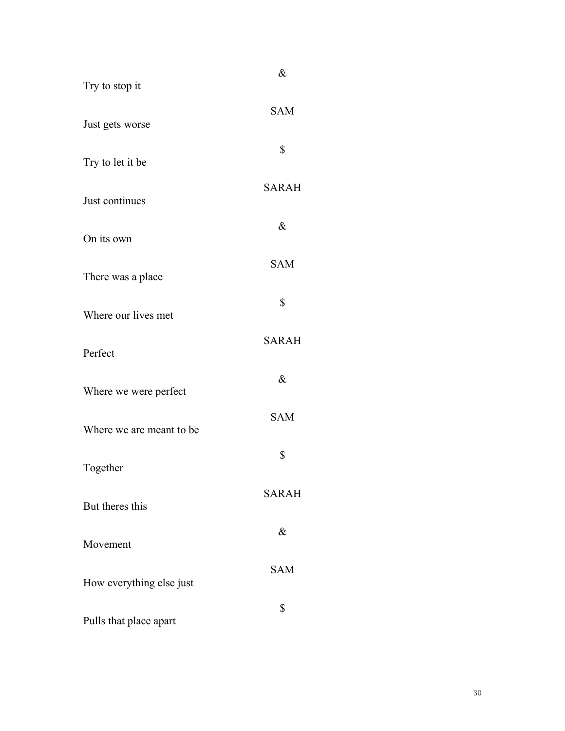| Try to stop it           | $\&$         |
|--------------------------|--------------|
| Just gets worse          | <b>SAM</b>   |
| Try to let it be         | \$           |
| Just continues           | <b>SARAH</b> |
| On its own               | $\&$         |
|                          | <b>SAM</b>   |
| There was a place        | \$           |
| Where our lives met      | <b>SARAH</b> |
| Perfect                  | &            |
| Where we were perfect    | <b>SAM</b>   |
| Where we are meant to be | \$           |
| Together                 |              |
| But theres this          | <b>SARAH</b> |
| Movement                 | $\&$         |
| How everything else just | <b>SAM</b>   |
| Pulls that place apart   | \$           |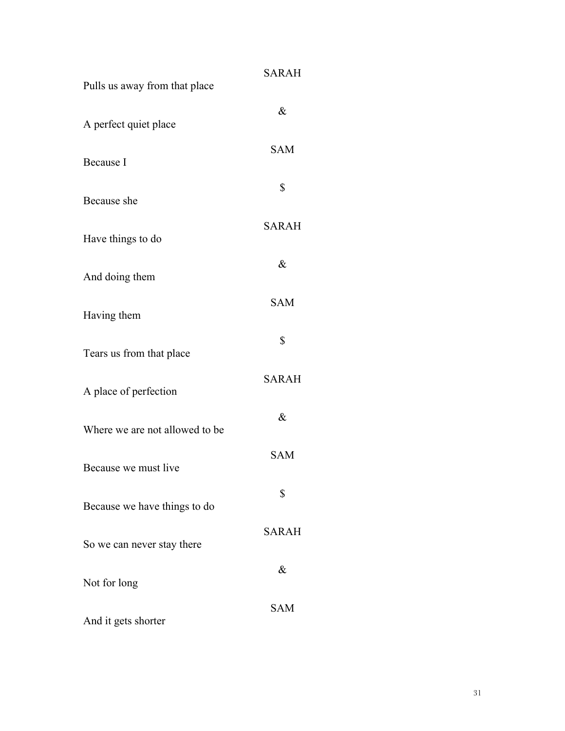| Pulls us away from that place  | <b>SARAH</b> |
|--------------------------------|--------------|
| A perfect quiet place          | &            |
| Because I                      | <b>SAM</b>   |
| Because she                    | \$           |
| Have things to do              | <b>SARAH</b> |
|                                | $\&$         |
| And doing them                 | <b>SAM</b>   |
| Having them                    | \$           |
| Tears us from that place       | <b>SARAH</b> |
| A place of perfection          | &            |
| Where we are not allowed to be | <b>SAM</b>   |
| Because we must live           | \$           |
| Because we have things to do   | <b>SARAH</b> |
| So we can never stay there     | $\&$         |
| Not for long                   | <b>SAM</b>   |
| And it gets shorter            |              |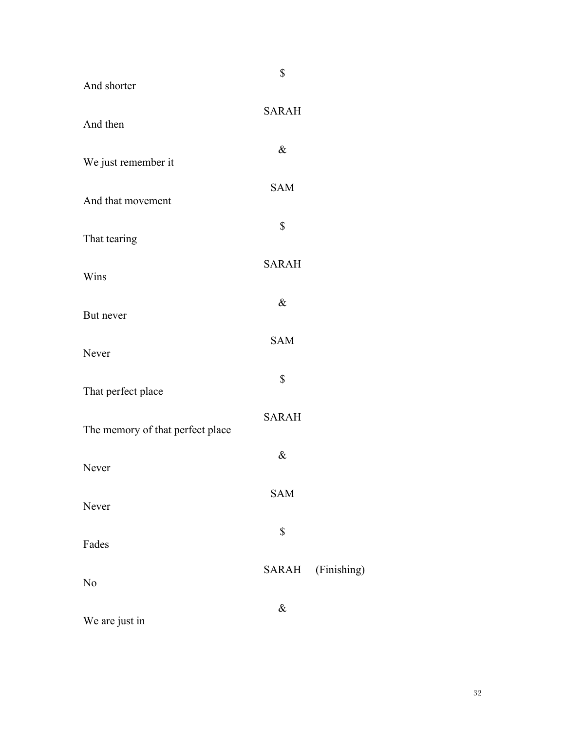| And shorter                      | \$           |             |
|----------------------------------|--------------|-------------|
| And then                         | <b>SARAH</b> |             |
| We just remember it              | $\&$         |             |
| And that movement                | <b>SAM</b>   |             |
|                                  | \$           |             |
| That tearing                     | <b>SARAH</b> |             |
| Wins                             | $\&$         |             |
| But never                        | <b>SAM</b>   |             |
| Never                            |              |             |
| That perfect place               | \$           |             |
| The memory of that perfect place | <b>SARAH</b> |             |
| Never                            | $\&$         |             |
| Never                            | <b>SAM</b>   |             |
| Fades                            | \$           |             |
| N <sub>o</sub>                   | <b>SARAH</b> | (Finishing) |
| We are just in                   | $\&$         |             |
|                                  |              |             |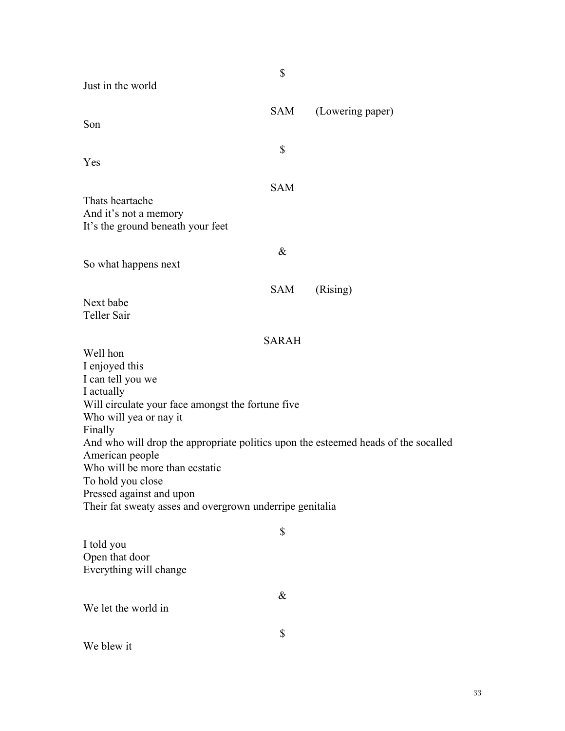Just in the world SAM (Lowering paper) Son \$ Yes SAM Thats heartache And it's not a memory It's the ground beneath your feet & So what happens next SAM (Rising) Next babe Teller Sair SARAH Well hon I enjoyed this I can tell you we I actually Will circulate your face amongst the fortune five Who will yea or nay it Finally And who will drop the appropriate politics upon the esteemed heads of the socalled American people Who will be more than ecstatic To hold you close Pressed against and upon Their fat sweaty asses and overgrown underripe genitalia \$ I told you Open that door Everything will change & We let the world in

\$

\$

We blew it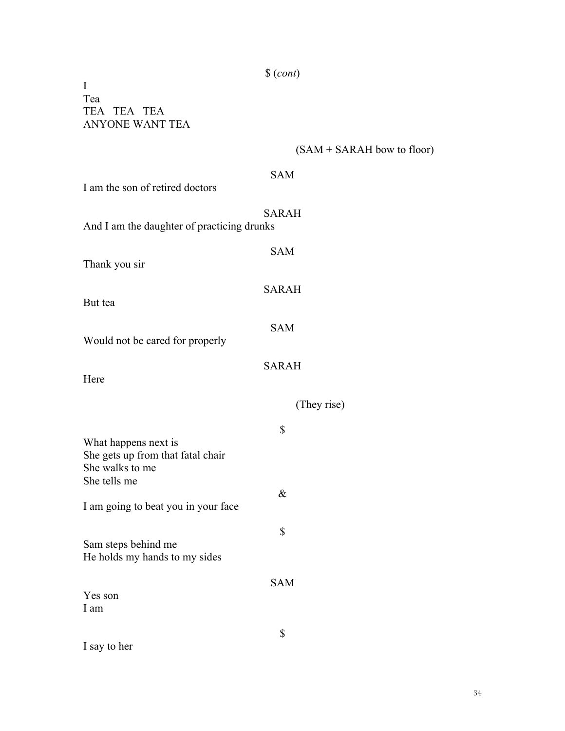# \$ (*cont*)

I Tea TEA TEA TEA ANYONE WANT TEA

I say to her

# (SAM + SARAH bow to floor)

| I am the son of retired doctors                                              | <b>SAM</b>   |  |
|------------------------------------------------------------------------------|--------------|--|
| And I am the daughter of practicing drunks                                   | <b>SARAH</b> |  |
| Thank you sir                                                                | <b>SAM</b>   |  |
| But tea                                                                      | <b>SARAH</b> |  |
| Would not be cared for properly                                              | <b>SAM</b>   |  |
| Here                                                                         | <b>SARAH</b> |  |
|                                                                              | (They rise)  |  |
| What happens next is<br>She gets up from that fatal chair<br>She walks to me | \$           |  |
| She tells me<br>I am going to beat you in your face                          | $\&$         |  |
| Sam steps behind me<br>He holds my hands to my sides                         | \$           |  |
| Yes son<br>I am                                                              | <b>SAM</b>   |  |
|                                                                              | \$           |  |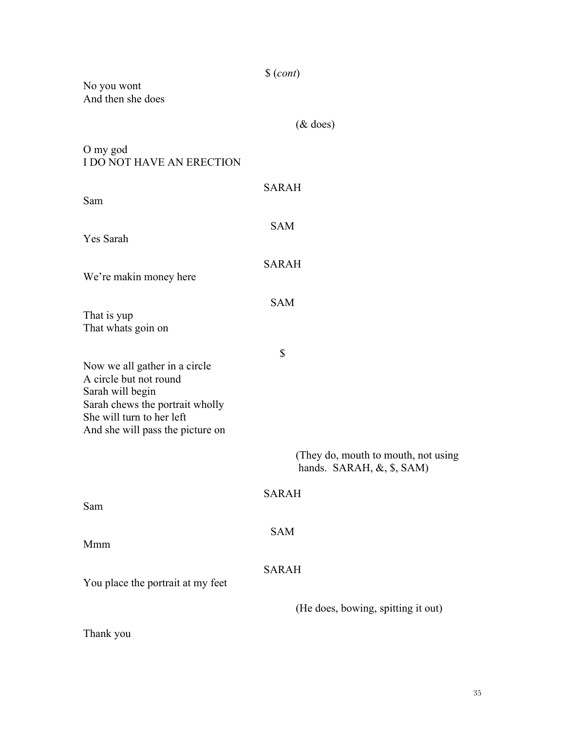| No you wont<br>And then she does                                                                                                                                                | $\$(cont)$                                                              |
|---------------------------------------------------------------------------------------------------------------------------------------------------------------------------------|-------------------------------------------------------------------------|
|                                                                                                                                                                                 | $(\&$ does)                                                             |
| O my god<br>I DO NOT HAVE AN ERECTION                                                                                                                                           |                                                                         |
| Sam                                                                                                                                                                             | <b>SARAH</b>                                                            |
| Yes Sarah                                                                                                                                                                       | <b>SAM</b>                                                              |
| We're makin money here                                                                                                                                                          | <b>SARAH</b>                                                            |
| That is yup<br>That whats goin on                                                                                                                                               | <b>SAM</b>                                                              |
| Now we all gather in a circle<br>A circle but not round<br>Sarah will begin<br>Sarah chews the portrait wholly<br>She will turn to her left<br>And she will pass the picture on | \$                                                                      |
|                                                                                                                                                                                 | (They do, mouth to mouth, not using<br>hands. SARAH, $\&$ , $\$$ , SAM) |
| Sam                                                                                                                                                                             | <b>SARAH</b>                                                            |
| Mmm                                                                                                                                                                             | <b>SAM</b>                                                              |
| You place the portrait at my feet                                                                                                                                               | <b>SARAH</b>                                                            |
|                                                                                                                                                                                 | (He does, bowing, spitting it out)                                      |
| Thank you                                                                                                                                                                       |                                                                         |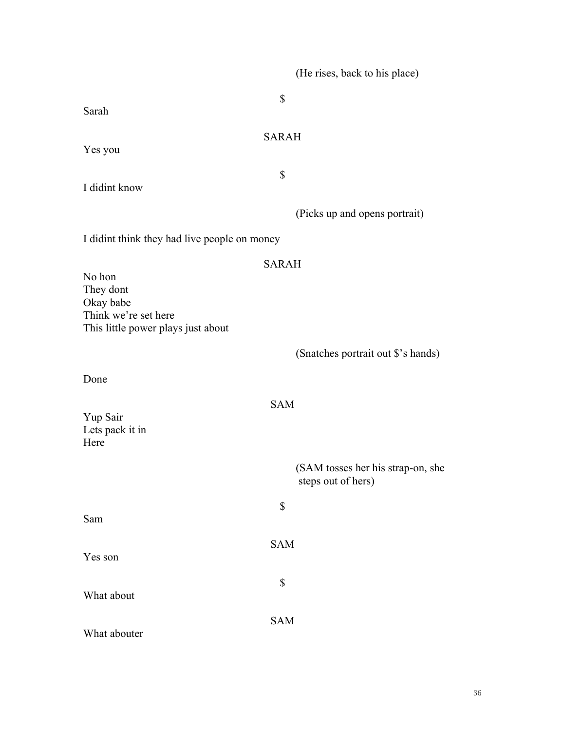# SARAH \$ (Picks up and opens portrait) I didint think they had live people on money SARAH

(He rises, back to his place)

No hon They dont Okay babe Think we're set here This little power plays just about

(Snatches portrait out \$'s hands)

(SAM tosses her his strap-on, she

steps out of hers)

Done

#### SAM

\$

Yup Sair Lets pack it in **Here** 

\$ Sam SAM Yes son \$ What about SAM

What abouter

Sarah

Yes you

I didint know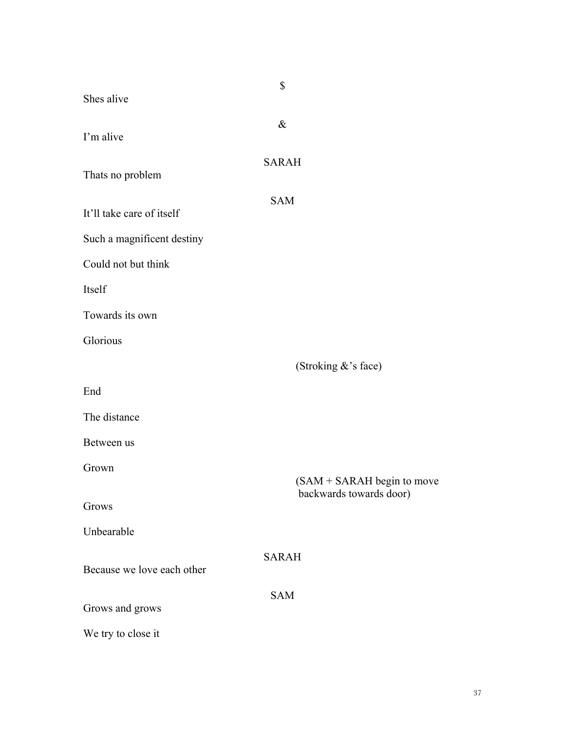| Shes alive                 | \$                         |  |
|----------------------------|----------------------------|--|
| I'm alive                  | $\&$                       |  |
| Thats no problem           | <b>SARAH</b>               |  |
| It'll take care of itself  | <b>SAM</b>                 |  |
| Such a magnificent destiny |                            |  |
| Could not but think        |                            |  |
| Itself                     |                            |  |
| Towards its own            |                            |  |
| Glorious                   |                            |  |
|                            | (Stroking &'s face)        |  |
| End                        |                            |  |
| The distance               |                            |  |
| Between us                 |                            |  |
| Grown                      | (SAM + SARAH begin to move |  |
| Grows                      | backwards towards door)    |  |
| Unbearable                 |                            |  |
| Because we love each other | <b>SARAH</b>               |  |
| Grows and grows            | <b>SAM</b>                 |  |
| We try to close it         |                            |  |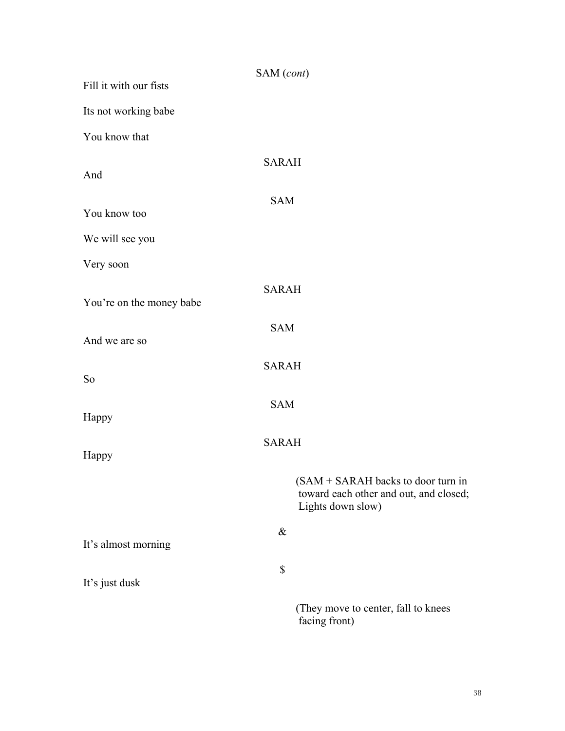|                          | SAM (cont)                                                                                        |
|--------------------------|---------------------------------------------------------------------------------------------------|
| Fill it with our fists   |                                                                                                   |
| Its not working babe     |                                                                                                   |
| You know that            |                                                                                                   |
| And                      | <b>SARAH</b>                                                                                      |
| You know too             | <b>SAM</b>                                                                                        |
| We will see you          |                                                                                                   |
| Very soon                |                                                                                                   |
| You're on the money babe | <b>SARAH</b>                                                                                      |
| And we are so            | <b>SAM</b>                                                                                        |
| So                       | <b>SARAH</b>                                                                                      |
| Happy                    | <b>SAM</b>                                                                                        |
| Happy                    | <b>SARAH</b>                                                                                      |
|                          | (SAM + SARAH backs to door turn in<br>toward each other and out, and closed;<br>Lights down slow) |
| It's almost morning      | &                                                                                                 |
| It's just dusk           | \$                                                                                                |
|                          | (They move to center, fall to knees<br>facing front)                                              |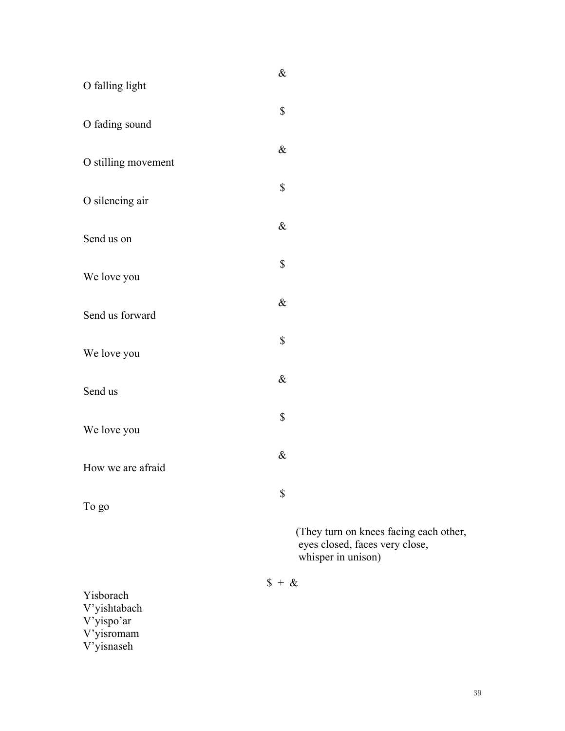| O falling light     | $\&$                                                                                           |
|---------------------|------------------------------------------------------------------------------------------------|
| O fading sound      | \$                                                                                             |
| O stilling movement | $\&$                                                                                           |
| O silencing air     | \$                                                                                             |
| Send us on          | $\&$                                                                                           |
| We love you         | \$                                                                                             |
| Send us forward     | $\&$                                                                                           |
| We love you         | \$                                                                                             |
| Send us             | $\&$                                                                                           |
| We love you         | \$                                                                                             |
| How we are afraid   | $\&$                                                                                           |
| To go               | \$                                                                                             |
|                     | (They turn on knees facing each other,<br>eyes closed, faces very close,<br>whisper in unison) |
| Yisborach           | $\uparrow + \&$                                                                                |

V'yishtabach V'yispo'ar V'yisromam V'yisnaseh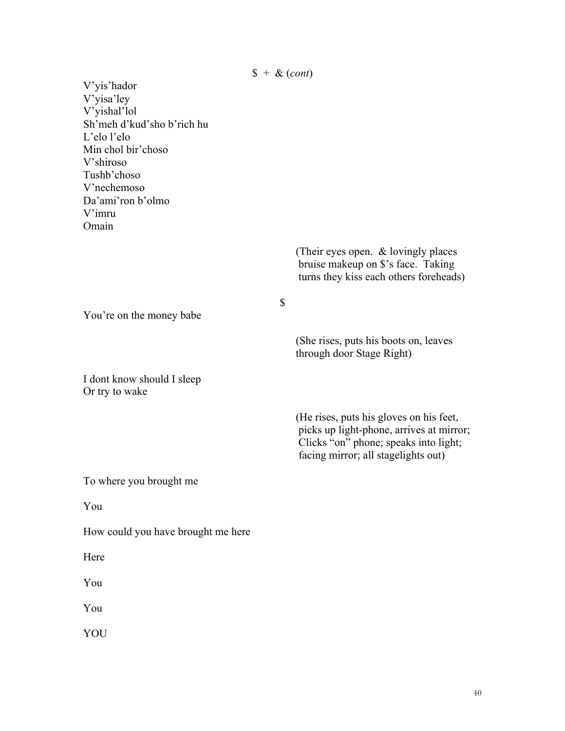|                                                                                                                                                                                                 | $\uparrow + \propto (cont)$ |                                                                                                                                                                     |
|-------------------------------------------------------------------------------------------------------------------------------------------------------------------------------------------------|-----------------------------|---------------------------------------------------------------------------------------------------------------------------------------------------------------------|
| V'yis'hador<br>V'yisa'ley<br>V'yishal'lol<br>Sh'meh d'kud'sho b'rich hu<br>L'elo l'elo<br>Min chol bir'choso<br>V'shiroso<br>Tushb'choso<br>V'nechemoso<br>Da'ami'ron b'olmo<br>V'imru<br>Omain |                             |                                                                                                                                                                     |
|                                                                                                                                                                                                 |                             | (Their eyes open. & lovingly places<br>bruise makeup on \$'s face. Taking<br>turns they kiss each others foreheads)                                                 |
|                                                                                                                                                                                                 | \$                          |                                                                                                                                                                     |
| You're on the money babe                                                                                                                                                                        |                             |                                                                                                                                                                     |
|                                                                                                                                                                                                 |                             | (She rises, puts his boots on, leaves)<br>through door Stage Right)                                                                                                 |
| I dont know should I sleep<br>Or try to wake                                                                                                                                                    |                             |                                                                                                                                                                     |
|                                                                                                                                                                                                 |                             | (He rises, puts his gloves on his feet,<br>picks up light-phone, arrives at mirror;<br>Clicks "on" phone; speaks into light;<br>facing mirror; all stagelights out) |
| To where you brought me                                                                                                                                                                         |                             |                                                                                                                                                                     |
| You                                                                                                                                                                                             |                             |                                                                                                                                                                     |
| How could you have brought me here                                                                                                                                                              |                             |                                                                                                                                                                     |
| Here                                                                                                                                                                                            |                             |                                                                                                                                                                     |
| You                                                                                                                                                                                             |                             |                                                                                                                                                                     |
| You                                                                                                                                                                                             |                             |                                                                                                                                                                     |
| YOU                                                                                                                                                                                             |                             |                                                                                                                                                                     |

## $\oint + \oint_C (c \omega t)$